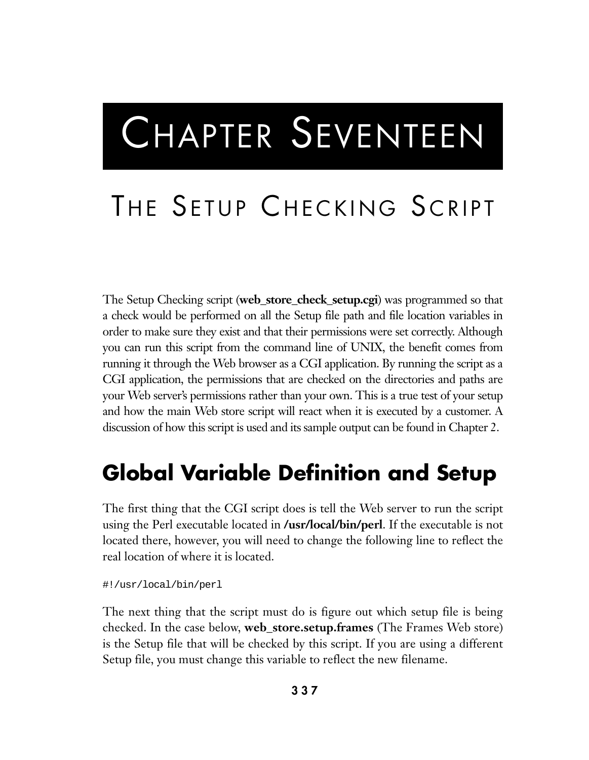# CHAPTER SEVENTEEN

# THE SETUP CHECKING SCRIPT

The Setup Checking script (**web\_store\_check\_setup.cgi**) was programmed so that a check would be performed on all the Setup file path and file location variables in order to make sure they exist and that their permissions were set correctly. Although you can run this script from the command line of UNIX, the benefit comes from running it through the Web browser as a CGI application. By running the script as a CGI application, the permissions that are checked on the directories and paths are your Web server's permissions rather than your own. This is a true test of your setup and how the main Web store script will react when it is executed by a customer. A discussion of how this script is used and its sample output can be found in Chapter 2.

# **Global Variable Definition and Setup**

The first thing that the CGI script does is tell the Web server to run the script using the Perl executable located in **/usr/local/bin/perl**. If the executable is not located there, however, you will need to change the following line to reflect the real location of where it is located.

#!/usr/local/bin/perl

The next thing that the script must do is figure out which setup file is being checked. In the case below, **web\_store.setup.frames** (The Frames Web store) is the Setup file that will be checked by this script. If you are using a different Setup file, you must change this variable to reflect the new filename.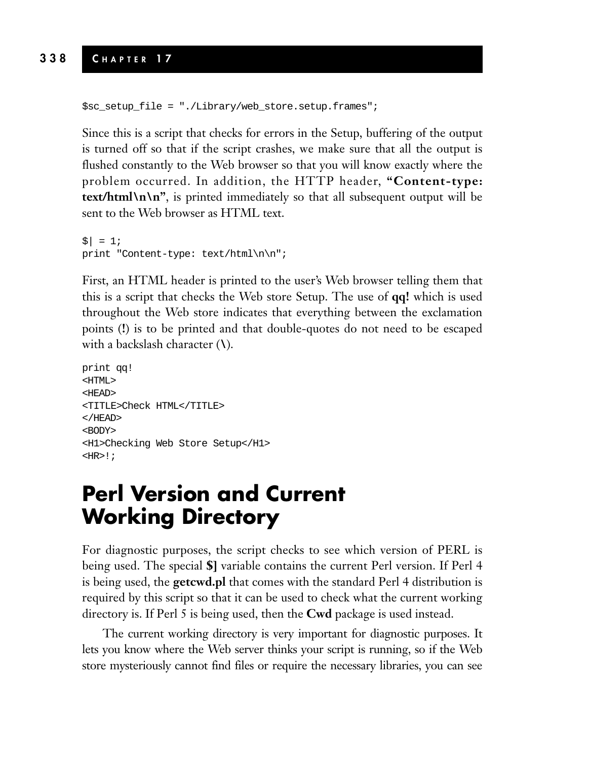```
$sc_setup_file = "./Library/web_store.setup.frames";
```
Since this is a script that checks for errors in the Setup, buffering of the output is turned off so that if the script crashes, we make sure that all the output is flushed constantly to the Web browser so that you will know exactly where the problem occurred. In addition, the HTTP header, **"Content-type: text/html\n\n"**, is printed immediately so that all subsequent output will be sent to the Web browser as HTML text.

```
| \; | = 1;print "Content-type: text/html\n\n";
```
First, an HTML header is printed to the user's Web browser telling them that this is a script that checks the Web store Setup. The use of **qq!** which is used throughout the Web store indicates that everything between the exclamation points (**!**) is to be printed and that double-quotes do not need to be escaped with a backslash character (**\**).

```
print qq!
<HTML>
<HEAD>
<TITLE>Check HTML</TITLE>
</HEAD>
<BODY>
<H1>Checking Web Store Setup</H1>
HRR>!;
```
## **Perl Version and Current Working Directory**

For diagnostic purposes, the script checks to see which version of PERL is being used. The special **\$]** variable contains the current Perl version. If Perl 4 is being used, the **getcwd.pl** that comes with the standard Perl 4 distribution is required by this script so that it can be used to check what the current working directory is. If Perl 5 is being used, then the **Cwd** package is used instead.

The current working directory is very important for diagnostic purposes. It lets you know where the Web server thinks your script is running, so if the Web store mysteriously cannot find files or require the necessary libraries, you can see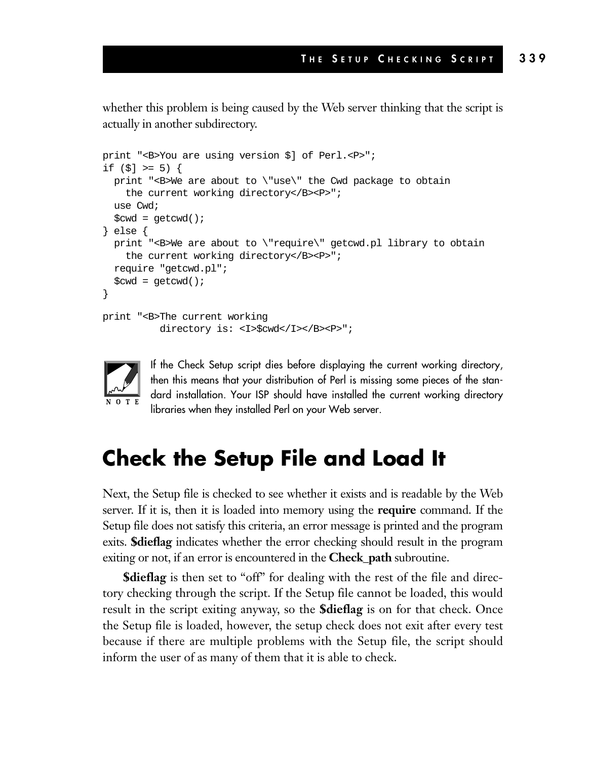whether this problem is being caused by the Web server thinking that the script is actually in another subdirectory.

```
print "<B>You are using version $] of Perl.<P>";
if (5] >= 5) {
 print "<B>We are about to \"use\" the Cwd package to obtain
    the current working directory</B><P>";
 use Cwd;
  %cwd = qetcwd();
} else {
 print "<B>We are about to \"require\" getcwd.pl library to obtain
    the current working directory</B><P>";
  require "getcwd.pl";
  %cwd = getcwd();
}
print "<B>The current working
          directory is: <I>$cwd</I></B><P>";
```


If the Check Setup script dies before displaying the current working directory, then this means that your distribution of Perl is missing some pieces of the standard installation. Your ISP should have installed the current working directory libraries when they installed Perl on your Web server.

# **Check the Setup File and Load It**

Next, the Setup file is checked to see whether it exists and is readable by the Web server. If it is, then it is loaded into memory using the **require** command. If the Setup file does not satisfy this criteria, an error message is printed and the program exits. **\$dieflag** indicates whether the error checking should result in the program exiting or not, if an error is encountered in the **Check\_path** subroutine.

**\$dieflag** is then set to "off" for dealing with the rest of the file and directory checking through the script. If the Setup file cannot be loaded, this would result in the script exiting anyway, so the **\$dieflag** is on for that check. Once the Setup file is loaded, however, the setup check does not exit after every test because if there are multiple problems with the Setup file, the script should inform the user of as many of them that it is able to check.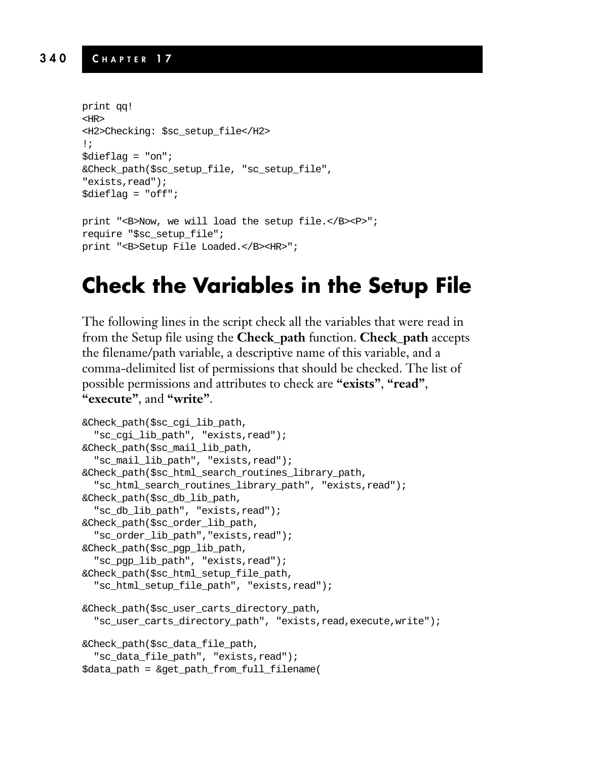#### **340 C HAPTER 1 7**

```
print qq!
<HR>
<H2>Checking: $sc_setup_file</H2>
!;
\text{Sdieflag} = \text{"on";}&Check_path($sc_setup_file, "sc_setup_file",
"exists,read");
$dieflag = "off";
print "<B>Now, we will load the setup file.</B><P>";
require "$sc_setup_file";
print "<B>Setup File Loaded.</B><HR>";
```
# **Check the Variables in the Setup File**

The following lines in the script check all the variables that were read in from the Setup file using the **Check\_path** function. **Check\_path** accepts the filename/path variable, a descriptive name of this variable, and a comma-delimited list of permissions that should be checked. The list of possible permissions and attributes to check are **"exists"**, **"read"**, **"execute"**, and **"write"**.

```
&Check_path($sc_cgi_lib_path,
  "sc_cgi_lib_path", "exists,read");
&Check_path($sc_mail_lib_path,
  "sc_mail_lib_path", "exists,read");
&Check_path($sc_html_search_routines_library_path,
  "sc_html_search_routines_library_path", "exists,read");
&Check_path($sc_db_lib_path,
  "sc_db_lib_path", "exists,read");
&Check_path($sc_order_lib_path,
  "sc_order_lib_path","exists,read");
&Check_path($sc_pgp_lib_path,
  "sc_pgp_lib_path", "exists,read");
&Check_path($sc_html_setup_file_path,
  "sc_html_setup_file_path", "exists,read");
&Check_path($sc_user_carts_directory_path,
  "sc_user_carts_directory_path", "exists,read,execute,write");
&Check_path($sc_data_file_path,
  "sc_data_file_path", "exists,read");
$data_path = &get_path_from_full_filename(
```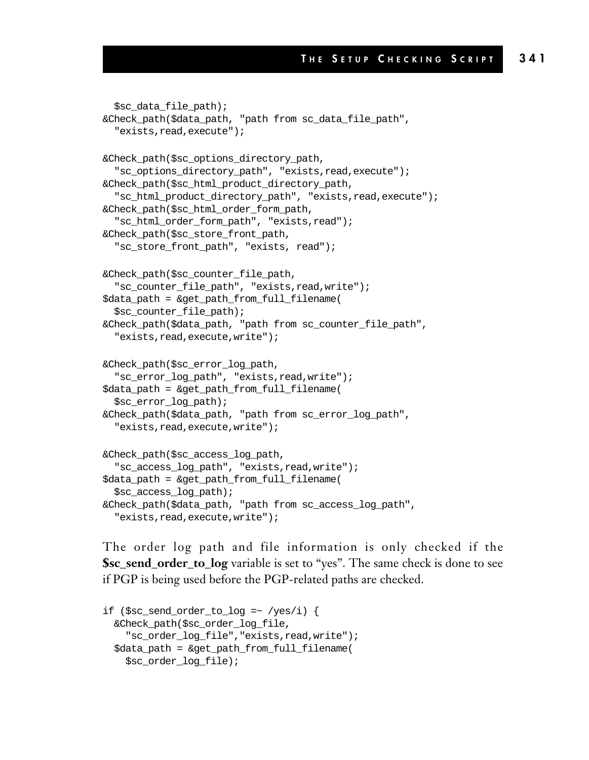```
$sc_data_file_path);
&Check_path($data_path, "path from sc_data_file_path",
  "exists,read,execute");
&Check_path($sc_options_directory_path,
  "sc_options_directory_path", "exists,read,execute");
&Check_path($sc_html_product_directory_path,
  "sc_html_product_directory_path", "exists,read,execute");
&Check_path($sc_html_order_form_path,
  "sc_html_order_form_path", "exists,read");
&Check_path($sc_store_front_path,
  "sc_store_front_path", "exists, read");
&Check_path($sc_counter_file_path,
  "sc_counter_file_path", "exists,read,write");
$data_path = &get_path_from_full_filename(
  $sc_counter_file_path);
&Check_path($data_path, "path from sc_counter_file_path",
  "exists,read,execute,write");
&Check_path($sc_error_log_path,
  "sc_error_log_path", "exists,read,write");
$data_path = &get_path_from_full_filename(
  $sc_error_log_path);
&Check_path($data_path, "path from sc_error_log_path",
  "exists,read,execute,write");
&Check_path($sc_access_log_path,
  "sc_access_log_path", "exists,read,write");
$data_path = &get_path_from_full_filename(
  $sc_access_log_path);
&Check_path($data_path, "path from sc_access_log_path",
  "exists,read,execute,write");
```
The order log path and file information is only checked if the **\$sc\_send\_order\_to\_log** variable is set to "yes". The same check is done to see if PGP is being used before the PGP-related paths are checked.

```
if (\$sc\_send\_order_to\_log = \sim /yes/i) {
 &Check_path($sc_order_log_file,
    "sc_order_log_file","exists,read,write");
  $data_path = &get_path_from_full_filename(
    $sc_order_log_file);
```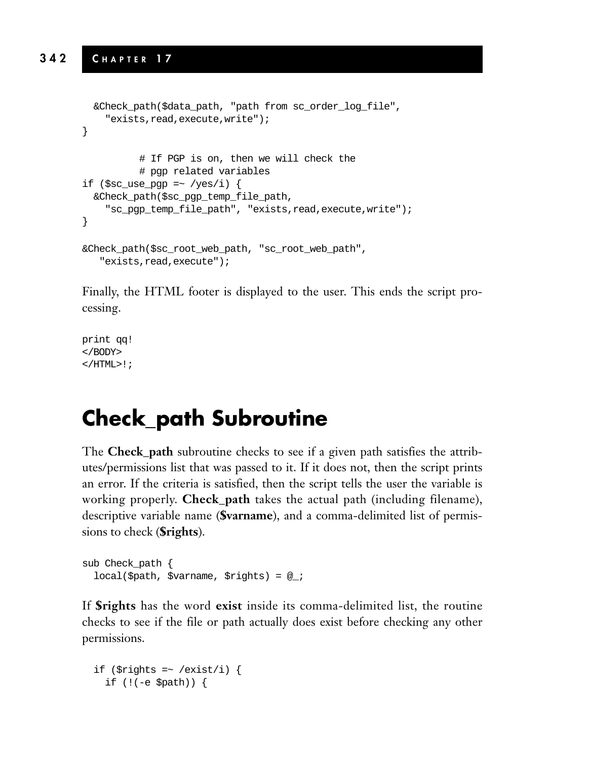#### **342 C HAPTER 1 7**

```
&Check_path($data_path, "path from sc_order_log_file",
    "exists,read,execute,write");
}
          # If PGP is on, then we will check the
          # pgp related variables
if ($sc use pqp =~ /yes/i) {
  &Check_path($sc_pgp_temp_file_path,
    "sc_pgp_temp_file_path", "exists,read,execute,write");
}
&Check_path($sc_root_web_path, "sc_root_web_path",
   "exists,read,execute");
```
Finally, the HTML footer is displayed to the user. This ends the script processing.

```
print qq!
</BODY>
</HTML>!;
```
# **Check\_path Subroutine**

The **Check\_path** subroutine checks to see if a given path satisfies the attributes/permissions list that was passed to it. If it does not, then the script prints an error. If the criteria is satisfied, then the script tells the user the variable is working properly. **Check\_path** takes the actual path (including filename), descriptive variable name (**\$varname**), and a comma-delimited list of permissions to check (**\$rights**).

```
sub Check_path {
 local ($path, $varname, $rights) = @i
```
If **\$rights** has the word **exist** inside its comma-delimited list, the routine checks to see if the file or path actually does exist before checking any other permissions.

```
if ($rights = ~ /exist/i) {
 if (!(-e $path)) {
```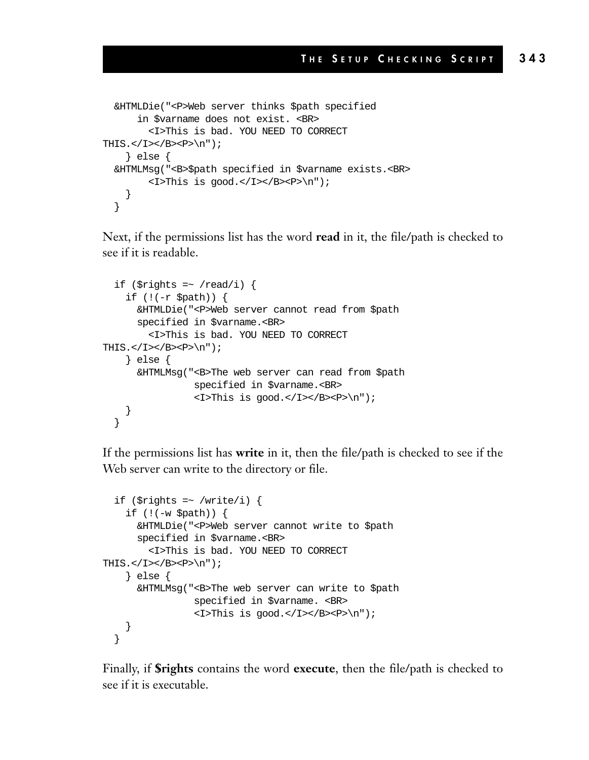```
&HTMLDie("<P>Web server thinks $path specified
      in $varname does not exist. <BR>
         <I>This is bad. YOU NEED TO CORRECT
THIS.\langle/I>\langle/B>\langleP>\langlen");
    } else {
  &HTMLMsg("<B>$path specified in $varname exists.<BR>
         <I>This is good.</I></B><P>\n");
    }
  }
```
Next, if the permissions list has the word **read** in it, the file/path is checked to see if it is readable.

```
if ($rights = ~ / read/i) {
     if (!(-r $path)) {
        &HTMLDie("<P>Web server cannot read from $path
        specified in $varname.<BR>
          <I>This is bad. YOU NEED TO CORRECT
THIS.\langle/I>\langle/B>\langleP>\langlen");
     } else {
        &HTMLMsg("<B>The web server can read from $path
                     specified in $varname.<BR>
                      \langle I\rangleThis is \langle I\rangle \langle I\rangle \langle I\rangle \langle R\rangle \langle P\rangle}
   }
```
If the permissions list has **write** in it, then the file/path is checked to see if the Web server can write to the directory or file.

```
if ($rights =~ /write/i) {
    if (!(-w $path)) {
      &HTMLDie("<P>Web server cannot write to $path
      specified in $varname.<BR>
         <I>This is bad. YOU NEED TO CORRECT
THIS.\langle/I>\langle/B>\langleP>\langlen");
    } else {
      &HTMLMsg("<B>The web server can write to $path
                 specified in $varname. <BR>
                 <I>This is good.</I></B><P>\n");
    }
  }
```
Finally, if **\$rights** contains the word **execute**, then the file/path is checked to see if it is executable.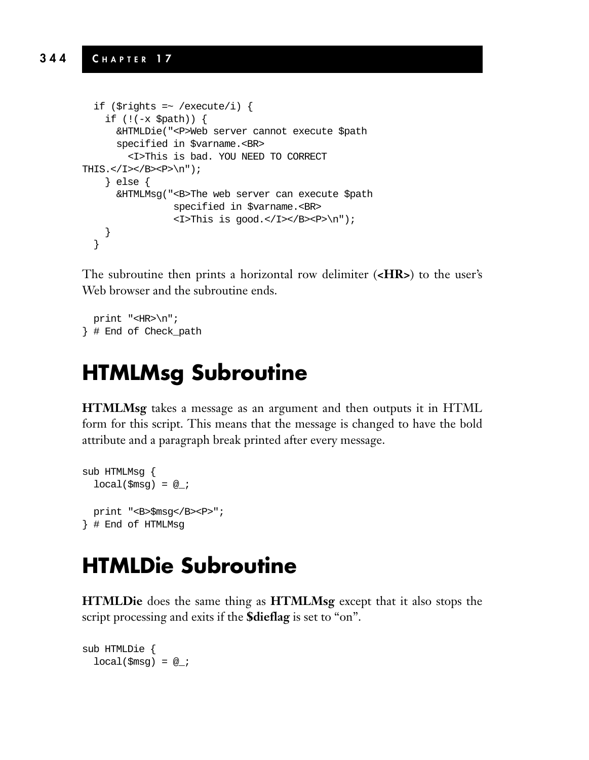#### **344 C HAPTER 1 7**

```
if ($rights =~ /execute/i) {
     if (!(-x $path)) {
        &HTMLDie("<P>Web server cannot execute $path
        specified in $varname.<BR>
          <I>This is bad. YOU NEED TO CORRECT
THIS.</I></B><P>\n");
     } else {
       &HTMLMsg("<B>The web server can execute $path
                     specified in $varname.<BR>
                     \langle I\rangleThis is \gamma \langle I\rangle \langle I\rangle \langle B\rangle \langle P\rangle \langle P\rangle \gamma \gamma}
  }
```
The subroutine then prints a horizontal row delimiter (**<HR>**) to the user's Web browser and the subroutine ends.

print "<HR>\n"; } # End of Check\_path

# **HTMLMsg Subroutine**

**HTMLMsg** takes a message as an argument and then outputs it in HTML form for this script. This means that the message is changed to have the bold attribute and a paragraph break printed after every message.

```
sub HTMLMsg {
 local(\$msg) = @;
 print "<B>$msg</B><P>";
} # End of HTMLMsg
```
# **HTMLDie Subroutine**

**HTMLDie** does the same thing as **HTMLMsg** except that it also stops the script processing and exits if the **\$dieflag** is set to "on".

```
sub HTMLDie {
 local(\$msg) = @;
```